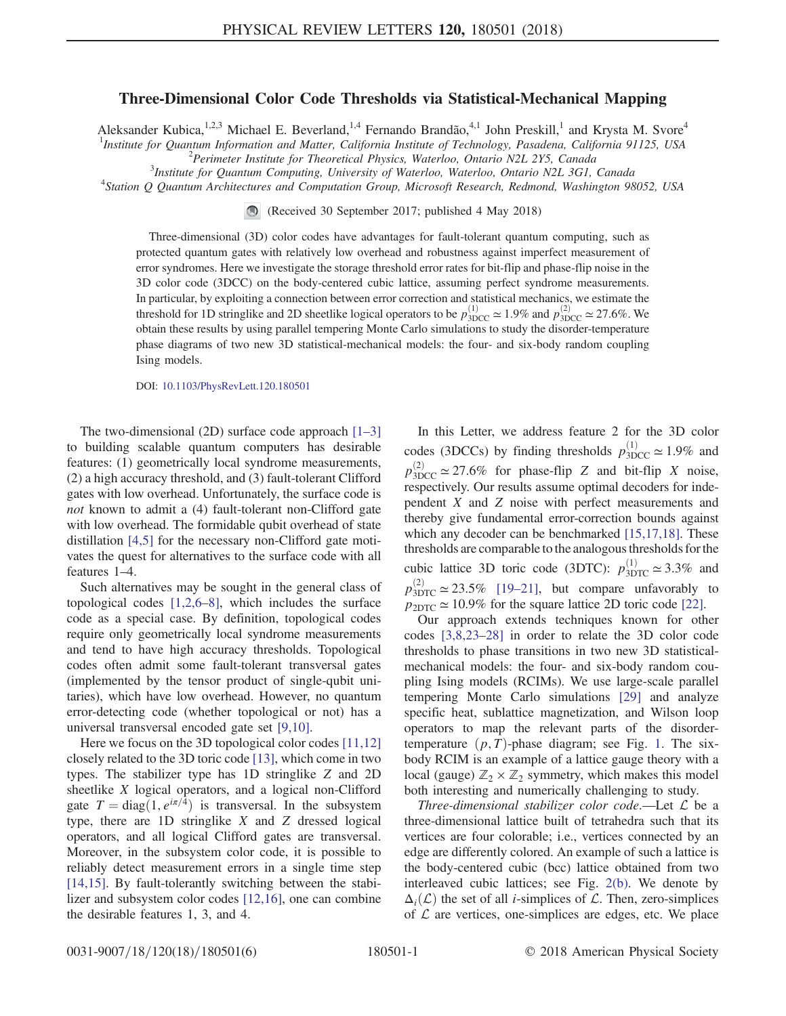## Three-Dimensional Color Code Thresholds via Statistical-Mechanical Mapping

Aleksander Kubica,<sup>1,2,3</sup> Michael E. Beverland,<sup>1,4</sup> Fernando Brandão,<sup>4,1</sup> John Preskill,<sup>1</sup> and Krysta M. Svore<sup>4</sup> <sup>1</sup>Institute for Quantum Information and Matter, California Institute of Technology, Pasadena, California 91125, USA<br><sup>2</sup>Perimeter Institute for Theoretical Physics Waterlog, Optario N2L 2X5, Canada

 $P^2$ Perimeter Institute for Theoretical Physics, Waterloo, Ontario N2L 2Y5, Canada

<sup>3</sup>Institute for Quantum Computing, University of Waterloo, Waterloo, Ontario N2L 3G1, Canada

<sup>4</sup>Station Q Quantum Architectures and Computation Group, Microsoft Research, Redmond, Washington 98052, USA

(Received 30 September 2017; published 4 May 2018)

Three-dimensional (3D) color codes have advantages for fault-tolerant quantum computing, such as protected quantum gates with relatively low overhead and robustness against imperfect measurement of error syndromes. Here we investigate the storage threshold error rates for bit-flip and phase-flip noise in the 3D color code (3DCC) on the body-centered cubic lattice, assuming perfect syndrome measurements. In particular, by exploiting a connection between error correction and statistical mechanics, we estimate the threshold for 1D stringlike and 2D sheetlike logical operators to be  $p_{3DCC}^{(1)} \simeq 1.9\%$  and  $p_{3DCC}^{(2)} \simeq 27.6\%$ . We obtain these results by using parallel tempering Monte Carlo simulations to study the disorder-temperature phase diagrams of two new 3D statistical-mechanical models: the four- and six-body random coupling Ising models.

DOI: [10.1103/PhysRevLett.120.180501](https://doi.org/10.1103/PhysRevLett.120.180501)

The two-dimensional (2D) surface code approach [1–[3\]](#page-4-0) to building scalable quantum computers has desirable features: (1) geometrically local syndrome measurements, (2) a high accuracy threshold, and (3) fault-tolerant Clifford gates with low overhead. Unfortunately, the surface code is not known to admit a (4) fault-tolerant non-Clifford gate with low overhead. The formidable qubit overhead of state distillation [\[4,5\]](#page-4-1) for the necessary non-Clifford gate motivates the quest for alternatives to the surface code with all features 1–4.

Such alternatives may be sought in the general class of topological codes [\[1,2,6](#page-4-0)–8], which includes the surface code as a special case. By definition, topological codes require only geometrically local syndrome measurements and tend to have high accuracy thresholds. Topological codes often admit some fault-tolerant transversal gates (implemented by the tensor product of single-qubit unitaries), which have low overhead. However, no quantum error-detecting code (whether topological or not) has a universal transversal encoded gate set [\[9,10\]](#page-4-2).

Here we focus on the 3D topological color codes [\[11,12\]](#page-4-3) closely related to the 3D toric code [\[13\]](#page-4-4), which come in two types. The stabilizer type has 1D stringlike Z and 2D sheetlike X logical operators, and a logical non-Clifford gate  $T = \text{diag}(1, e^{i\pi/4})$  is transversal. In the subsystem type, there are  $1D$  stringlike  $X$  and  $Z$  dressed logical operators, and all logical Clifford gates are transversal. Moreover, in the subsystem color code, it is possible to reliably detect measurement errors in a single time step [\[14,15\]](#page-4-5). By fault-tolerantly switching between the stabilizer and subsystem color codes [\[12,16\],](#page-4-6) one can combine the desirable features 1, 3, and 4.

In this Letter, we address feature 2 for the 3D color codes (3DCCs) by finding thresholds  $p_{3DCC}^{(1)} \simeq 1.9\%$  and  $p_{3DCC}^{(2)} \simeq 27.6\%$  for phase-flip Z and bit-flip X noise, respectively. Our results assume optimal decoders for independent X and Z noise with perfect measurements and thereby give fundamental error-correction bounds against which any decoder can be benchmarked [\[15,17,18\].](#page-4-7) These thresholds are comparable to the analogous thresholds for the cubic lattice 3D toric code (3DTC):  $p_{3DTC}^{(1)} \approx 3.3\%$  and  $p_{3DTC}^{(2)} \simeq 23.5\%$  [19–[21\],](#page-4-8) but compare unfavorably to  $p_{2DTC} \simeq 10.9\%$  for the square lattice 2D toric code [\[22\]](#page-4-9).

Our approach extends techniques known for other codes [\[3,8,23](#page-4-10)–28] in order to relate the 3D color code thresholds to phase transitions in two new 3D statisticalmechanical models: the four- and six-body random coupling Ising models (RCIMs). We use large-scale parallel tempering Monte Carlo simulations [\[29\]](#page-5-0) and analyze specific heat, sublattice magnetization, and Wilson loop operators to map the relevant parts of the disordertemperature  $(p, T)$ -phase diagram; see Fig. [1](#page-1-0). The sixbody RCIM is an example of a lattice gauge theory with a local (gauge)  $\mathbb{Z}_2 \times \mathbb{Z}_2$  symmetry, which makes this model both interesting and numerically challenging to study.

Three-dimensional stabilizer color code.—Let  $\mathcal L$  be a three-dimensional lattice built of tetrahedra such that its vertices are four colorable; i.e., vertices connected by an edge are differently colored. An example of such a lattice is the body-centered cubic (bcc) lattice obtained from two interleaved cubic lattices; see Fig. [2\(b\)](#page-1-1). We denote by  $\Delta_i(\mathcal{L})$  the set of all *i*-simplices of  $\mathcal{L}$ . Then, zero-simplices of  $\mathcal L$  are vertices, one-simplices are edges, etc. We place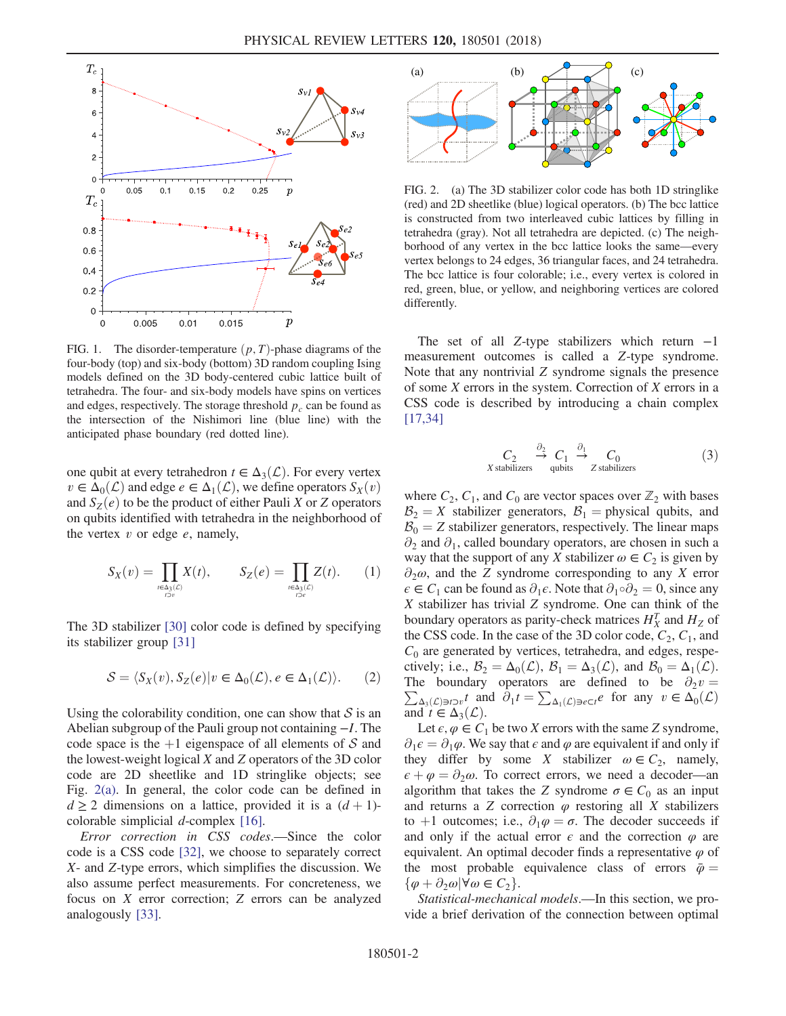<span id="page-1-0"></span>

FIG. 1. The disorder-temperature  $(p, T)$ -phase diagrams of the four-body (top) and six-body (bottom) 3D random coupling Ising models defined on the 3D body-centered cubic lattice built of tetrahedra. The four- and six-body models have spins on vertices and edges, respectively. The storage threshold  $p_c$  can be found as the intersection of the Nishimori line (blue line) with the anticipated phase boundary (red dotted line).

one qubit at every tetrahedron  $t \in \Delta_3(\mathcal{L})$ . For every vertex  $v \in \Delta_0(\mathcal{L})$  and edge  $e \in \Delta_1(\mathcal{L})$ , we define operators  $S_X(v)$ and  $S_Z(e)$  to be the product of either Pauli X or Z operators on qubits identified with tetrahedra in the neighborhood of the vertex  $v$  or edge  $e$ , namely,

$$
S_X(v) = \prod_{\underset{r>0}{\scriptscriptstyle{r\in A_3(\mathcal{L})}} X(t), \qquad S_Z(e) = \prod_{\underset{r>0}{\scriptscriptstyle{r\in A_3(\mathcal{L})}} Z(t).} (1)
$$

The 3D stabilizer [\[30\]](#page-5-1) color code is defined by specifying its stabilizer group [\[31\]](#page-5-2)

$$
S = \langle S_X(v), S_Z(e) | v \in \Delta_0(\mathcal{L}), e \in \Delta_1(\mathcal{L}) \rangle. \tag{2}
$$

Using the colorability condition, one can show that  $S$  is an Abelian subgroup of the Pauli group not containing −I. The code space is the  $+1$  eigenspace of all elements of S and the lowest-weight logical X and Z operators of the 3D color code are 2D sheetlike and 1D stringlike objects; see Fig. [2\(a\)](#page-1-1). In general, the color code can be defined in  $d \geq 2$  dimensions on a lattice, provided it is a  $(d+1)$ colorable simplicial *d*-complex  $[16]$ .

Error correction in CSS codes.—Since the color code is a CSS code [\[32\],](#page-5-3) we choose to separately correct X- and Z-type errors, which simplifies the discussion. We also assume perfect measurements. For concreteness, we focus on X error correction; Z errors can be analyzed analogously [\[33\]](#page-5-4).

<span id="page-1-1"></span>

FIG. 2. (a) The 3D stabilizer color code has both 1D stringlike (red) and 2D sheetlike (blue) logical operators. (b) The bcc lattice is constructed from two interleaved cubic lattices by filling in tetrahedra (gray). Not all tetrahedra are depicted. (c) The neighborhood of any vertex in the bcc lattice looks the same—every vertex belongs to 24 edges, 36 triangular faces, and 24 tetrahedra. The bcc lattice is four colorable; i.e., every vertex is colored in red, green, blue, or yellow, and neighboring vertices are colored differently.

<span id="page-1-2"></span>The set of all Z-type stabilizers which return  $-1$ measurement outcomes is called a Z-type syndrome. Note that any nontrivial Z syndrome signals the presence of some X errors in the system. Correction of X errors in a CSS code is described by introducing a chain complex [\[17,34\]](#page-4-12)

$$
C_2 \xrightarrow{\partial_2} C_1 \xrightarrow{\partial_1} C_0
$$
  
X stabilizers qubits Z stabilizers (3)

where  $C_2$ ,  $C_1$ , and  $C_0$  are vector spaces over  $\mathbb{Z}_2$  with bases  $\mathcal{B}_2 = X$  stabilizer generators,  $\mathcal{B}_1 =$  physical qubits, and  $B_0 = Z$  stabilizer generators, respectively. The linear maps  $\partial_2$  and  $\partial_1$ , called boundary operators, are chosen in such a way that the support of any X stabilizer  $\omega \in C_2$  is given by  $\partial_2\omega$ , and the Z syndrome corresponding to any X error  $\epsilon \in C_1$  can be found as  $\partial_1 \epsilon$ . Note that  $\partial_1 \circ \partial_2 = 0$ , since any X stabilizer has trivial Z syndrome. One can think of the boundary operators as parity-check matrices  $H_X^T$  and  $H_Z$  of the CSS code. In the case of the 3D color code,  $C_2$ ,  $C_1$ , and  $C_0$  are generated by vertices, tetrahedra, and edges, respectively; i.e.,  $\mathcal{B}_2 = \Delta_0(\mathcal{L})$ ,  $\mathcal{B}_1 = \Delta_3(\mathcal{L})$ , and  $\mathcal{B}_0 = \Delta_1(\mathcal{L})$ .  $\sum_{\Delta_3(\mathcal{L}) \ni t \supset v} t$  and  $\partial_1 t = \sum_{\Delta_1(\mathcal{L}) \ni t \in \Delta_0(\mathcal{L})} t$  for any  $v \in \Delta_0(\mathcal{L})$ The boundary operators are defined to be  $\partial_2 v =$ and  $t \in \Delta_3(\mathcal{L})$ .

Let  $\epsilon, \varphi \in C_1$  be two X errors with the same Z syndrome,  $\partial_1 \epsilon = \partial_1 \varphi$ . We say that  $\epsilon$  and  $\varphi$  are equivalent if and only if they differ by some X stabilizer  $\omega \in C_2$ , namely,  $\epsilon + \varphi = \partial_2 \omega$ . To correct errors, we need a decoder—an algorithm that takes the Z syndrome  $\sigma \in C_0$  as an input and returns a Z correction  $\varphi$  restoring all X stabilizers to +1 outcomes; i.e.,  $\partial_1 \varphi = \sigma$ . The decoder succeeds if and only if the actual error  $\epsilon$  and the correction  $\varphi$  are equivalent. An optimal decoder finds a representative  $\varphi$  of the most probable equivalence class of errors  $\bar{\varphi} =$  $\{\varphi + \partial_2\omega \, | \, \forall \omega \in C_2\}.$ 

Statistical-mechanical models.—In this section, we provide a brief derivation of the connection between optimal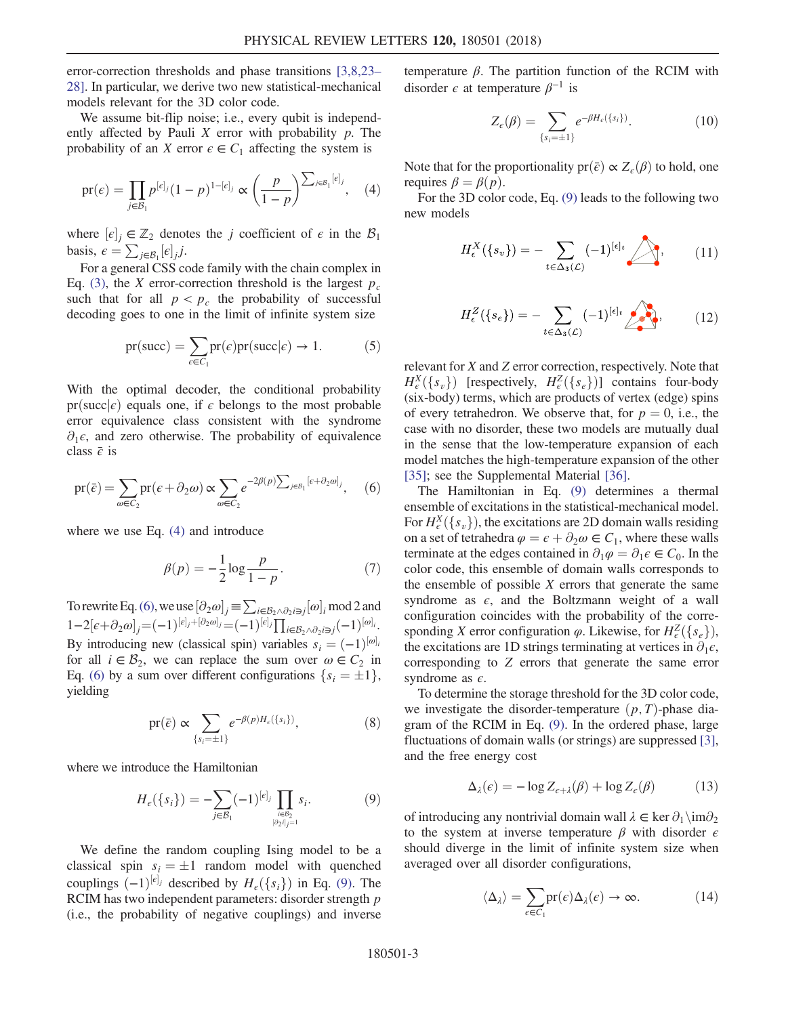error-correction thresholds and phase transitions [\[3,8,23](#page-4-10)– [28\].](#page-4-10) In particular, we derive two new statistical-mechanical models relevant for the 3D color code.

<span id="page-2-0"></span>We assume bit-flip noise; *i.e.*, every qubit is independently affected by Pauli  $X$  error with probability  $p$ . The probability of an X error  $\epsilon \in C_1$  affecting the system is

$$
\text{pr}(\epsilon) = \prod_{j \in B_1} p^{[\epsilon]_j} (1 - p)^{1 - [\epsilon]_j} \propto \left(\frac{p}{1 - p}\right)^{\sum_{j \in B_1} [\epsilon]_j}, \quad (4)
$$

where  $[\epsilon]_j \in \mathbb{Z}_2$  denotes the j coefficient of  $\epsilon$  in the  $\mathcal{B}_1$ <br>basis  $\epsilon = \sum_{i=1}^{\infty} [\epsilon_i]$  i basis,  $\epsilon = \sum_{j \in \mathcal{B}_1} [\epsilon]_j j$ .<br>For a general CSS co

For a general CSS code family with the chain complex in Eq. [\(3\)](#page-1-2), the X error-correction threshold is the largest  $p_c$ such that for all  $p < p_c$  the probability of successful decoding goes to one in the limit of infinite system size

$$
pr(succ) = \sum_{\epsilon \in C_1} pr(\epsilon) pr(succ | \epsilon) \to 1.
$$
 (5)

With the optimal decoder, the conditional probability pr(succ $\epsilon$ ) equals one, if  $\epsilon$  belongs to the most probable error equivalence class consistent with the syndrome  $\partial_1 \epsilon$ , and zero otherwise. The probability of equivalence class  $\bar{\epsilon}$  is

<span id="page-2-1"></span>
$$
\text{pr}(\bar{e}) = \sum_{\omega \in C_2} \text{pr}(\epsilon + \partial_2 \omega) \propto \sum_{\omega \in C_2} e^{-2\beta(p) \sum_{j \in B_1} [\epsilon + \partial_2 \omega]_j}, \quad (6)
$$

<span id="page-2-3"></span>where we use Eq. [\(4\)](#page-2-0) and introduce

$$
\beta(p) = -\frac{1}{2}\log\frac{p}{1-p}.\tag{7}
$$

To rewrite Eq. [\(6\)](#page-2-1), we use  $[\partial_2 \omega]_j = \sum_{i \in \mathcal{B}_2 \wedge \partial_2 i \ni j} [\omega]_i \mod 2$  and  $[2 \text{ and } 1 \cdot \partial_1]_i \wedge [1 \cdot [\partial_2 \omega]_i \wedge [1 \cdot [\nabla_1 \cdot \nabla_2 \cdot \nabla_2 \cdot \nabla_1 \cdot \nabla_2 \cdot \nabla_2 \cdot \nabla_2 \cdot \nabla_2 \cdot \nabla_2 \cdot \nabla_2 \cdot \nabla_2 \cdot \nabla_2 \cdot \nabla_$ 1−2[ $\epsilon + \partial_2 \omega$ ]<sub>j</sub>=(-1)<sup>[ $\epsilon$ </sup>]<sub>j</sub>+[ $\partial_2 \omega$ ]<sub>j</sub>=(-1)<sup>[ $\epsilon$ ]</sup>j<sub>1</sub>[ $\prod_{i \in \mathcal{B}_2 \land \partial_2 i \ni j}$ (-1)<sup>[ $\omega$ ]</sup>j. By introducing new (classical spin) variables  $s_i = (-1)^{[\omega]_i}$ <br>for all  $i \in \mathcal{B}_2$ , we can replace the sum over  $\omega \in C_2$  in for all  $i \in \mathcal{B}_2$ , we can replace the sum over  $\omega \in C_2$  in Eq. [\(6\)](#page-2-1) by a sum over different configurations  $\{s_i = \pm 1\},\$ yielding

$$
\text{pr}(\bar{e}) \propto \sum_{\{s_i = \pm 1\}} e^{-\beta(p)H_e(\{s_i\})},\tag{8}
$$

<span id="page-2-2"></span>where we introduce the Hamiltonian

$$
H_{\epsilon}(\{s_i\}) = -\sum_{j \in \mathcal{B}_1} (-1)^{[\epsilon]_j} \prod_{\substack{i \in \mathcal{B}_2 \\ [\partial_2 i]_j = 1}} s_i. \tag{9}
$$

We define the random coupling Ising model to be a classical spin  $s_i = \pm 1$  random model with quenched couplings  $(-1)^{[e]_j}$  described by  $H_e({s_i})$  in Eq. [\(9\)](#page-2-2). The RCIM has two independent parameters: disorder strength *n* RCIM has two independent parameters: disorder strength p (i.e., the probability of negative couplings) and inverse temperature  $\beta$ . The partition function of the RCIM with disorder  $\epsilon$  at temperature  $\beta^{-1}$  is

$$
Z_{\epsilon}(\beta) = \sum_{\{s_i = \pm 1\}} e^{-\beta H_{\epsilon}(\{s_i\})}.
$$
 (10)

Note that for the proportionality  $pr(\bar{\epsilon}) \propto Z_{\epsilon}(\beta)$  to hold, one requires  $\beta = \beta(p)$ .

<span id="page-2-4"></span>For the 3D color code, Eq. [\(9\)](#page-2-2) leads to the following two new models

$$
H_{\epsilon}^X(\lbrace s_v \rbrace) = -\sum_{t \in \Delta_3(\mathcal{L})} (-1)^{[\epsilon]_t} \sum_{\langle s_v, \langle s_v, \rangle} \tag{11}
$$

<span id="page-2-5"></span>
$$
H_{\epsilon}^{Z}(\{s_e\}) = -\sum_{t \in \Delta_3(\mathcal{L})} (-1)^{[\epsilon]_t} \sum_{\ell \in \Delta_3(\mathcal{L})} , \qquad (12)
$$

relevant for X and Z error correction, respectively. Note that  $H_{\epsilon}^{X}(\lbrace s_{v}\rbrace)$  [respectively,  $H_{\epsilon}^{Z}(\lbrace s_{e}\rbrace)$ ] contains four-body<br>(six-body) terms which are products of vertex (edge) spins (six-body) terms, which are products of vertex (edge) spins of every tetrahedron. We observe that, for  $p = 0$ , i.e., the case with no disorder, these two models are mutually dual in the sense that the low-temperature expansion of each model matches the high-temperature expansion of the other [\[35\]](#page-5-5); see the Supplemental Material [\[36\].](#page-5-6)

The Hamiltonian in Eq. [\(9\)](#page-2-2) determines a thermal ensemble of excitations in the statistical-mechanical model. For  $H_c^X({s_y})$ , the excitations are 2D domain walls residing<br>on a set of tetrahedra  $\omega = \epsilon + \partial_t \omega \in C$ , where these walls on a set of tetrahedra  $\varphi = \epsilon + \partial_2 \omega \in C_1$ , where these walls terminate at the edges contained in  $\partial_1 \varphi = \partial_1 \varepsilon \in C_0$ . In the color code, this ensemble of domain walls corresponds to the ensemble of possible  $X$  errors that generate the same syndrome as  $\epsilon$ , and the Boltzmann weight of a wall configuration coincides with the probability of the corresponding X error configuration  $\varphi$ . Likewise, for  $H_c^Z({s_e})$ ,<br>the excitations are 1D strings terminating at vertices in  $\partial_c \epsilon$ the excitations are 1D strings terminating at vertices in  $\partial_1 \epsilon$ , corresponding to Z errors that generate the same error syndrome as  $\epsilon$ .

To determine the storage threshold for the 3D color code, we investigate the disorder-temperature  $(p, T)$ -phase diagram of the RCIM in Eq. [\(9\).](#page-2-2) In the ordered phase, large fluctuations of domain walls (or strings) are suppressed [\[3\]](#page-4-10), and the free energy cost

$$
\Delta_{\lambda}(\epsilon) = -\log Z_{\epsilon+\lambda}(\beta) + \log Z_{\epsilon}(\beta) \tag{13}
$$

of introducing any nontrivial domain wall  $\lambda \in \ker \partial_1 \setminus \text{im}\partial_2$ to the system at inverse temperature  $\beta$  with disorder  $\epsilon$ should diverge in the limit of infinite system size when averaged over all disorder configurations,

$$
\langle \Delta_{\lambda} \rangle = \sum_{\epsilon \in C_1} \text{pr}(\epsilon) \Delta_{\lambda}(\epsilon) \to \infty.
$$
 (14)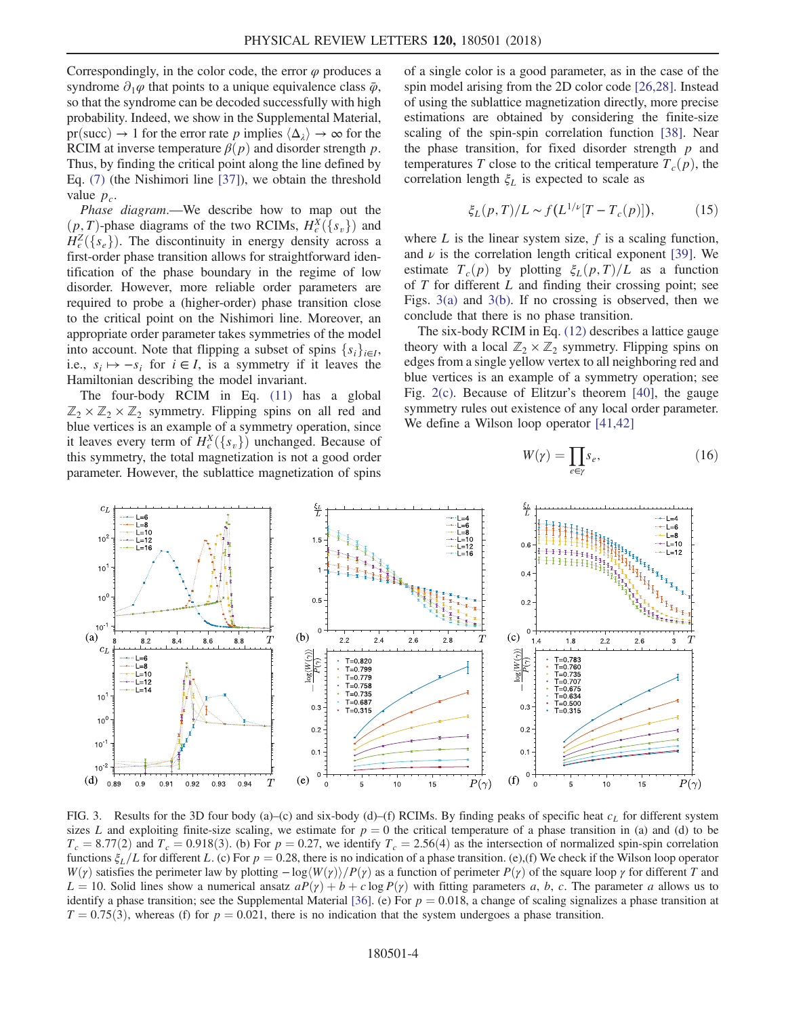Correspondingly, in the color code, the error  $\varphi$  produces a syndrome  $\partial_1\varphi$  that points to a unique equivalence class  $\bar{\varphi}$ , so that the syndrome can be decoded successfully with high probability. Indeed, we show in the Supplemental Material, pr(succ)  $\rightarrow$  1 for the error rate p implies  $\langle \Delta_{\lambda} \rangle \rightarrow \infty$  for the RCIM at inverse temperature  $\beta(p)$  and disorder strength p. Thus, by finding the critical point along the line defined by Eq. [\(7\)](#page-2-3) (the Nishimori line [\[37\]](#page-5-7)), we obtain the threshold value  $p_c$ .

Phase diagram.-We describe how to map out the  $(p, T)$ -phase diagrams of the two RCIMs,  $H_{\epsilon}^{X}(\lbrace s_{v} \rbrace)$  and  $H_{\epsilon}^{Z}(\lbrace s_{v} \rbrace)$ . The discontinuity in energy density across a  $\hat{H}_{\epsilon}^{Z}(\{s_{e}\})$ . The discontinuity in energy density across a first-order phase transition allows for straightforward idenfirst-order phase transition allows for straightforward identification of the phase boundary in the regime of low disorder. However, more reliable order parameters are required to probe a (higher-order) phase transition close to the critical point on the Nishimori line. Moreover, an appropriate order parameter takes symmetries of the model into account. Note that flipping a subset of spins  $\{s_i\}_{i\in I}$ , i.e.,  $s_i \mapsto -s_i$  for  $i \in I$ , is a symmetry if it leaves the Hamiltonian describing the model invariant.

The four-body RCIM in Eq. [\(11\)](#page-2-4) has a global  $\mathbb{Z}_2 \times \mathbb{Z}_2 \times \mathbb{Z}_2$  symmetry. Flipping spins on all red and blue vertices is an example of a symmetry operation, since it leaves every term of  $H_{\epsilon}^{X}(\lbrace s_{v} \rbrace)$  unchanged. Because of this symmetry the total magnetization is not a good order this symmetry, the total magnetization is not a good order parameter. However, the sublattice magnetization of spins of a single color is a good parameter, as in the case of the spin model arising from the 2D color code [\[26,28\].](#page-4-13) Instead of using the sublattice magnetization directly, more precise estimations are obtained by considering the finite-size scaling of the spin-spin correlation function [\[38\]](#page-5-8). Near the phase transition, for fixed disorder strength  $p$  and temperatures T close to the critical temperature  $T_c(p)$ , the correlation length  $\xi_L$  is expected to scale as

$$
\xi_L(p,T)/L \sim f\left(L^{1/\nu}[T - T_c(p)]\right),\tag{15}
$$

where  $L$  is the linear system size,  $f$  is a scaling function, and  $\nu$  is the correlation length critical exponent [\[39\].](#page-5-9) We estimate  $T_c(p)$  by plotting  $\xi_L(p,T)/L$  as a function of  $T$  for different  $L$  and finding their crossing point; see Figs. [3\(a\)](#page-3-0) and [3\(b\).](#page-3-0) If no crossing is observed, then we conclude that there is no phase transition.

The six-body RCIM in Eq. [\(12\)](#page-2-5) describes a lattice gauge theory with a local  $\mathbb{Z}_2 \times \mathbb{Z}_2$  symmetry. Flipping spins on edges from a single yellow vertex to all neighboring red and blue vertices is an example of a symmetry operation; see Fig. [2\(c\)](#page-1-1). Because of Elitzur's theorem [\[40\]](#page-5-10), the gauge symmetry rules out existence of any local order parameter. We define a Wilson loop operator [\[41,42\]](#page-5-11)

$$
W(\gamma) = \prod_{e \in \gamma} s_e,\tag{16}
$$

<span id="page-3-0"></span>

FIG. 3. Results for the 3D four body (a)–(c) and six-body (d)–(f) RCIMs. By finding peaks of specific heat  $c<sub>L</sub>$  for different system sizes L and exploiting finite-size scaling, we estimate for  $p = 0$  the critical temperature of a phase transition in (a) and (d) to be  $T_c = 8.77(2)$  and  $T_c = 0.918(3)$ . (b) For  $p = 0.27$ , we identify  $T_c = 2.56(4)$  as the intersection of normalized spin-spin correlation functions  $\xi_L/L$  for different L. (c) For  $p = 0.28$ , there is no indication of a phase transition. (e),(f) We check if the Wilson loop operator  $W(\gamma)$  satisfies the perimeter law by plotting  $-\log\langle W(\gamma)\rangle/P(\gamma)$  as a function of perimeter  $P(\gamma)$  of the square loop  $\gamma$  for different T and  $L = 10$ . Solid lines show a numerical ansatz  $aP(\gamma) + b + c \log P(\gamma)$  with fitting parameters a, b, c. The parameter a allows us to identify a phase transition; see the Supplemental Material [\[36\]](#page-5-6). (e) For  $p = 0.018$ , a change of scaling signalizes a phase transition at  $T = 0.75(3)$ , whereas (f) for  $p = 0.021$ , there is no indication that the system undergoes a phase transition.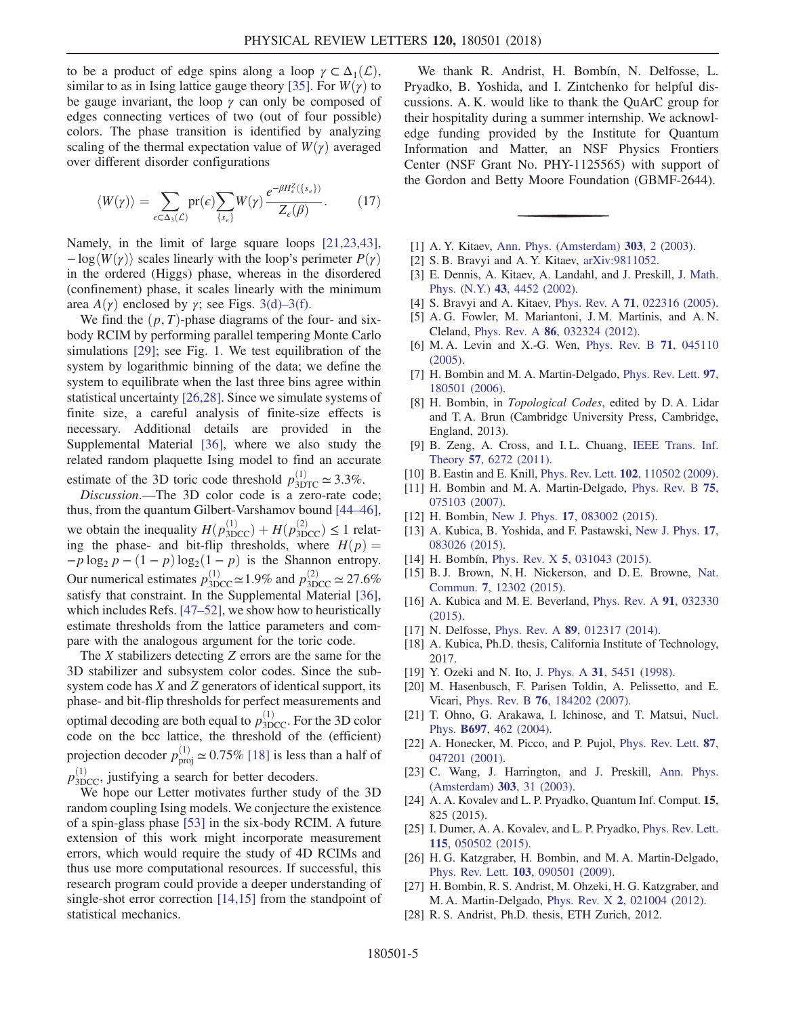to be a product of edge spins along a loop  $\gamma \subset \Delta_1(\mathcal{L}),$ similar to as in Ising lattice gauge theory [\[35\].](#page-5-5) For  $W(\gamma)$  to be gauge invariant, the loop  $\gamma$  can only be composed of edges connecting vertices of two (out of four possible) colors. The phase transition is identified by analyzing scaling of the thermal expectation value of  $W(\gamma)$  averaged over different disorder configurations

$$
\langle W(\gamma) \rangle = \sum_{\epsilon \subset \Delta_3(\mathcal{L})} \text{pr}(\epsilon) \sum_{\{s_e\}} W(\gamma) \frac{e^{-\beta H_c^Z(\{s_e\})}}{Z_c(\beta)}.
$$
 (17)

Namely, in the limit of large square loops [\[21,23,43\]](#page-4-14),  $-\log\langle W(\gamma)\rangle$  scales linearly with the loop's perimeter  $P(\gamma)$ in the ordered (Higgs) phase, whereas in the disordered (confinement) phase, it scales linearly with the minimum area  $A(\gamma)$  enclosed by  $\gamma$ ; see Figs. [3\(d\)](#page-3-0)–3(f).

We find the  $(p, T)$ -phase diagrams of the four- and sixbody RCIM by performing parallel tempering Monte Carlo simulations [\[29\]](#page-5-0); see Fig. [1](#page-1-0). We test equilibration of the system by logarithmic binning of the data; we define the system to equilibrate when the last three bins agree within statistical uncertainty [\[26,28\]](#page-4-13). Since we simulate systems of finite size, a careful analysis of finite-size effects is necessary. Additional details are provided in the Supplemental Material [\[36\],](#page-5-6) where we also study the related random plaquette Ising model to find an accurate estimate of the 3D toric code threshold  $p_{\text{3DTC}}^{(1)} \approx 3.3\%$ .

Discussion.—The 3D color code is a zero-rate code; thus, from the quantum Gilbert-Varshamov bound [\[44](#page-5-12)–46], we obtain the inequality  $H(p_{3DCC}^{(1)}) + H(p_{3DCC}^{(2)}) \le 1$  relation the phase- and bit-flip thresholds, where  $H(p)$  – ing the phase- and bit-flip thresholds, where  $H(p) =$  $-p \log_2 p - (1-p) \log_2(1-p)$  is the Shannon entropy. Our numerical estimates  $p_{3DCC}^{(1)} \approx 1.9\%$  and  $p_{3DCC}^{(2)} \approx 27.6\%$ satisfy that constraint. In the Supplemental Material [\[36\]](#page-5-6), which includes Refs. [47–[52\],](#page-5-13) we show how to heuristically estimate thresholds from the lattice parameters and compare with the analogous argument for the toric code.

The X stabilizers detecting Z errors are the same for the 3D stabilizer and subsystem color codes. Since the subsystem code has X and Z generators of identical support, its phase- and bit-flip thresholds for perfect measurements and optimal decoding are both equal to  $p_{3DCC}^{(1)}$ . For the 3D color code on the bcc lattice, the threshold of the (efficient) projection decoder  $p_{\text{proj}}^{(1)} \simeq 0.75\%$  [\[18\]](#page-4-15) is less than a half of  $p_{3DCC}^{(1)}$ , justifying a search for better decoders.

We hope our Letter motivates further study of the 3D random coupling Ising models. We conjecture the existence of a spin-glass phase [\[53\]](#page-5-14) in the six-body RCIM. A future extension of this work might incorporate measurement errors, which would require the study of 4D RCIMs and thus use more computational resources. If successful, this research program could provide a deeper understanding of single-shot error correction [\[14,15\]](#page-4-5) from the standpoint of statistical mechanics.

We thank R. Andrist, H. Bombín, N. Delfosse, L. Pryadko, B. Yoshida, and I. Zintchenko for helpful discussions. A. K. would like to thank the QuArC group for their hospitality during a summer internship. We acknowledge funding provided by the Institute for Quantum Information and Matter, an NSF Physics Frontiers Center (NSF Grant No. PHY-1125565) with support of the Gordon and Betty Moore Foundation (GBMF-2644).

- <span id="page-4-10"></span><span id="page-4-0"></span>[1] A. Y. Kitaev, [Ann. Phys. \(Amsterdam\)](https://doi.org/10.1016/S0003-4916(02)00018-0) **303**, 2 (2003).
- [2] S. B. Bravyi and A. Y. Kitaev, [arXiv:9811052.](http://arXiv.org/abs/9811052)
- <span id="page-4-1"></span>[3] E. Dennis, A. Kitaev, A. Landahl, and J. Preskill, [J. Math.](https://doi.org/10.1063/1.1499754) Phys. (N.Y.) 43[, 4452 \(2002\)](https://doi.org/10.1063/1.1499754).
- [4] S. Bravyi and A. Kitaev, Phys. Rev. A 71[, 022316 \(2005\).](https://doi.org/10.1103/PhysRevA.71.022316)
- [5] A. G. Fowler, M. Mariantoni, J. M. Martinis, and A. N. Cleland, Phys. Rev. A 86[, 032324 \(2012\)](https://doi.org/10.1103/PhysRevA.86.032324).
- [6] M. A. Levin and X.-G. Wen, [Phys. Rev. B](https://doi.org/10.1103/PhysRevB.71.045110) 71, 045110 [\(2005\).](https://doi.org/10.1103/PhysRevB.71.045110)
- [7] H. Bombin and M. A. Martin-Delgado, [Phys. Rev. Lett.](https://doi.org/10.1103/PhysRevLett.97.180501) 97, [180501 \(2006\).](https://doi.org/10.1103/PhysRevLett.97.180501)
- <span id="page-4-2"></span>[8] H. Bombin, in *Topological Codes*, edited by D. A. Lidar and T. A. Brun (Cambridge University Press, Cambridge, England, 2013).
- [9] B. Zeng, A. Cross, and I. L. Chuang, [IEEE Trans. Inf.](https://doi.org/10.1109/TIT.2011.2161917) Theory 57[, 6272 \(2011\)](https://doi.org/10.1109/TIT.2011.2161917).
- <span id="page-4-3"></span>[10] B. Eastin and E. Knill, *Phys. Rev. Lett.* **102**[, 110502 \(2009\).](https://doi.org/10.1103/PhysRevLett.102.110502)
- <span id="page-4-6"></span>[11] H. Bombin and M. A. Martin-Delgado, [Phys. Rev. B](https://doi.org/10.1103/PhysRevB.75.075103) 75, [075103 \(2007\).](https://doi.org/10.1103/PhysRevB.75.075103)
- <span id="page-4-4"></span>[12] H. Bombin, New J. Phys. **17**[, 083002 \(2015\)](https://doi.org/10.1088/1367-2630/17/8/083002).
- <span id="page-4-5"></span>[13] A. Kubica, B. Yoshida, and F. Pastawski, [New J. Phys.](https://doi.org/10.1088/1367-2630/17/8/083026) 17, [083026 \(2015\).](https://doi.org/10.1088/1367-2630/17/8/083026)
- <span id="page-4-7"></span>[14] H. Bombín, Phys. Rev. X **5**[, 031043 \(2015\)](https://doi.org/10.1103/PhysRevX.5.031043).
- <span id="page-4-11"></span>[15] B. J. Brown, N. H. Nickerson, and D. E. Browne, [Nat.](https://doi.org/10.1038/ncomms12302) Commun. 7[, 12302 \(2015\)](https://doi.org/10.1038/ncomms12302).
- <span id="page-4-12"></span>[16] A. Kubica and M. E. Beverland, [Phys. Rev. A](https://doi.org/10.1103/PhysRevA.91.032330) 91, 032330 [\(2015\).](https://doi.org/10.1103/PhysRevA.91.032330)
- <span id="page-4-15"></span>[17] N. Delfosse, Phys. Rev. A **89**[, 012317 \(2014\).](https://doi.org/10.1103/PhysRevA.89.012317)
- <span id="page-4-8"></span>[18] A. Kubica, Ph.D. thesis, California Institute of Technology, 2017.
- [19] Y. Ozeki and N. Ito, J. Phys. A 31[, 5451 \(1998\).](https://doi.org/10.1088/0305-4470/31/24/007)
- <span id="page-4-14"></span>[20] M. Hasenbusch, F. Parisen Toldin, A. Pelissetto, and E. Vicari, Phys. Rev. B 76[, 184202 \(2007\).](https://doi.org/10.1103/PhysRevB.76.184202)
- <span id="page-4-9"></span>[21] T. Ohno, G. Arakawa, I. Ichinose, and T. Matsui, [Nucl.](https://doi.org/10.1016/j.nuclphysb.2004.07.003) Phys. B697[, 462 \(2004\).](https://doi.org/10.1016/j.nuclphysb.2004.07.003)
- [22] A. Honecker, M. Picco, and P. Pujol, [Phys. Rev. Lett.](https://doi.org/10.1103/PhysRevLett.87.047201) 87, [047201 \(2001\).](https://doi.org/10.1103/PhysRevLett.87.047201)
- [23] C. Wang, J. Harrington, and J. Preskill, [Ann. Phys.](https://doi.org/10.1016/S0003-4916(02)00019-2) [\(Amsterdam\)](https://doi.org/10.1016/S0003-4916(02)00019-2) 303, 31 (2003).
- [24] A. A. Kovalev and L. P. Pryadko, Quantum Inf. Comput. 15, 825 (2015).
- <span id="page-4-13"></span>[25] I. Dumer, A. A. Kovalev, and L. P. Pryadko, [Phys. Rev. Lett.](https://doi.org/10.1103/PhysRevLett.115.050502) 115[, 050502 \(2015\).](https://doi.org/10.1103/PhysRevLett.115.050502)
- [26] H. G. Katzgraber, H. Bombin, and M. A. Martin-Delgado, Phys. Rev. Lett. 103[, 090501 \(2009\).](https://doi.org/10.1103/PhysRevLett.103.090501)
- [27] H. Bombin, R. S. Andrist, M. Ohzeki, H. G. Katzgraber, and M. A. Martin-Delgado, Phys. Rev. X 2[, 021004 \(2012\)](https://doi.org/10.1103/PhysRevX.2.021004).
- [28] R. S. Andrist, Ph.D. thesis, ETH Zurich, 2012.